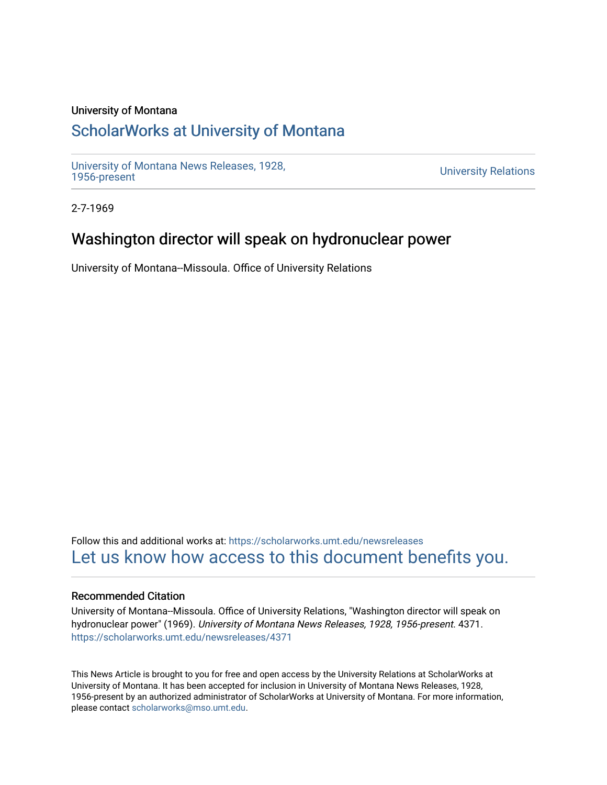#### University of Montana

## [ScholarWorks at University of Montana](https://scholarworks.umt.edu/)

[University of Montana News Releases, 1928,](https://scholarworks.umt.edu/newsreleases) 

**University Relations** 

2-7-1969

### Washington director will speak on hydronuclear power

University of Montana--Missoula. Office of University Relations

Follow this and additional works at: [https://scholarworks.umt.edu/newsreleases](https://scholarworks.umt.edu/newsreleases?utm_source=scholarworks.umt.edu%2Fnewsreleases%2F4371&utm_medium=PDF&utm_campaign=PDFCoverPages) [Let us know how access to this document benefits you.](https://goo.gl/forms/s2rGfXOLzz71qgsB2) 

#### Recommended Citation

University of Montana--Missoula. Office of University Relations, "Washington director will speak on hydronuclear power" (1969). University of Montana News Releases, 1928, 1956-present. 4371. [https://scholarworks.umt.edu/newsreleases/4371](https://scholarworks.umt.edu/newsreleases/4371?utm_source=scholarworks.umt.edu%2Fnewsreleases%2F4371&utm_medium=PDF&utm_campaign=PDFCoverPages) 

This News Article is brought to you for free and open access by the University Relations at ScholarWorks at University of Montana. It has been accepted for inclusion in University of Montana News Releases, 1928, 1956-present by an authorized administrator of ScholarWorks at University of Montana. For more information, please contact [scholarworks@mso.umt.edu.](mailto:scholarworks@mso.umt.edu)